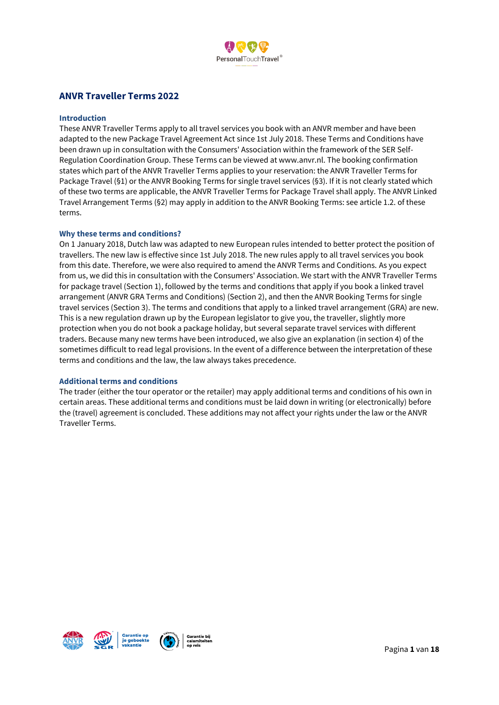

# **ANVR Traveller Terms 2022**

#### **Introduction**

These ANVR Traveller Terms apply to all travel services you book with an ANVR member and have been adapted to the new Package Travel Agreement Act since 1st July 2018. These Terms and Conditions have been drawn up in consultation with the Consumers' Association within the framework of the SER Self-Regulation Coordination Group. These Terms can be viewed at www.anvr.nl. The booking confirmation states which part of the ANVR Traveller Terms applies to your reservation: the ANVR Traveller Terms for Package Travel (§1) or the ANVR Booking Terms for single travel services (§3). If it is not clearly stated which of these two terms are applicable, the ANVR Traveller Terms for Package Travel shall apply. The ANVR Linked Travel Arrangement Terms (§2) may apply in addition to the ANVR Booking Terms: see article 1.2. of these terms.

#### **Why these terms and conditions?**

On 1 January 2018, Dutch law was adapted to new European rules intended to better protect the position of travellers. The new law is effective since 1st July 2018. The new rules apply to all travel services you book from this date. Therefore, we were also required to amend the ANVR Terms and Conditions. As you expect from us, we did this in consultation with the Consumers' Association. We start with the ANVR Traveller Terms for package travel (Section 1), followed by the terms and conditions that apply if you book a linked travel arrangement (ANVR GRA Terms and Conditions) (Section 2), and then the ANVR Booking Terms for single travel services (Section 3). The terms and conditions that apply to a linked travel arrangement (GRA) are new. This is a new regulation drawn up by the European legislator to give you, the traveller, slightly more protection when you do not book a package holiday, but several separate travel services with different traders. Because many new terms have been introduced, we also give an explanation (in section 4) of the sometimes difficult to read legal provisions. In the event of a difference between the interpretation of these terms and conditions and the law, the law always takes precedence.

#### **Additional terms and conditions**

The trader (either the tour operator or the retailer) may apply additional terms and conditions of his own in certain areas. These additional terms and conditions must be laid down in writing (or electronically) before the (travel) agreement is concluded. These additions may not affect your rights under the law or the ANVR Traveller Terms.





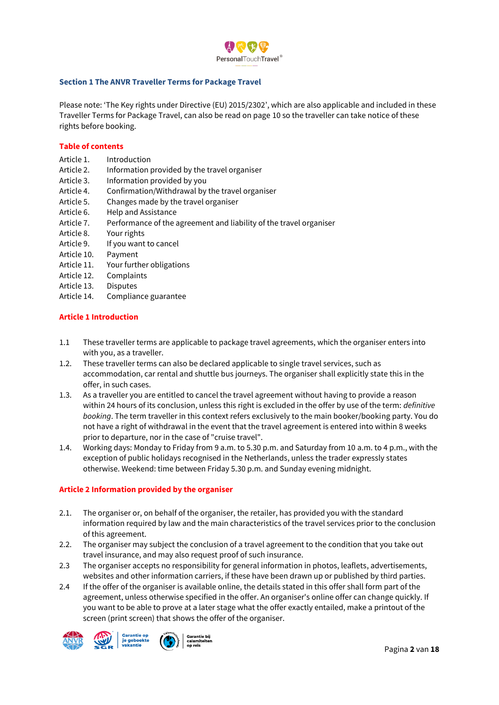

### **Section 1 The ANVR Traveller Terms for Package Travel**

Please note: 'The Key rights under Directive (EU) 2015/2302', which are also applicable and included in these Traveller Terms for Package Travel, can also be read on page 10 so the traveller can take notice of these rights before booking.

#### **Table of contents**

- Article 1. Introduction
- Article 2. Information provided by the travel organiser
- Article 3. Information provided by you
- Article 4. Confirmation/Withdrawal by the travel organiser
- Article 5. Changes made by the travel organiser
- Article 6. Help and Assistance
- Article 7. Performance of the agreement and liability of the travel organiser
- Article 8. Your rights
- Article 9. If you want to cancel
- Article 10. Payment
- Article 11. Your further obligations
- Article 12. Complaints
- Article 13. Disputes
- Article 14. Compliance guarantee

#### **Article 1 Introduction**

- 1.1 These traveller terms are applicable to package travel agreements, which the organiser enters into with you, as a traveller.
- 1.2. These traveller terms can also be declared applicable to single travel services, such as accommodation, car rental and shuttle bus journeys. The organiser shall explicitly state this in the offer, in such cases.
- 1.3. As a traveller you are entitled to cancel the travel agreement without having to provide a reason within 24 hours of its conclusion, unless this right is excluded in the offer by use of the term: *definitive booking*. The term traveller in this context refers exclusively to the main booker/booking party. You do not have a right of withdrawal in the event that the travel agreement is entered into within 8 weeks prior to departure, nor in the case of "cruise travel".
- 1.4. Working days: Monday to Friday from 9 a.m. to 5.30 p.m. and Saturday from 10 a.m. to 4 p.m., with the exception of public holidays recognised in the Netherlands, unless the trader expressly states otherwise. Weekend: time between Friday 5.30 p.m. and Sunday evening midnight.

#### **Article 2 Information provided by the organiser**

- 2.1. The organiser or, on behalf of the organiser, the retailer, has provided you with the standard information required by law and the main characteristics of the travel services prior to the conclusion of this agreement.
- 2.2. The organiser may subject the conclusion of a travel agreement to the condition that you take out travel insurance, and may also request proof of such insurance.
- 2.3 The organiser accepts no responsibility for general information in photos, leaflets, advertisements, websites and other information carriers, if these have been drawn up or published by third parties.
- 2.4 If the offer of the organiser is available online, the details stated in this offer shall form part of the agreement, unless otherwise specified in the offer. An organiser's online offer can change quickly. If you want to be able to prove at a later stage what the offer exactly entailed, make a printout of the screen (print screen) that shows the offer of the organiser.



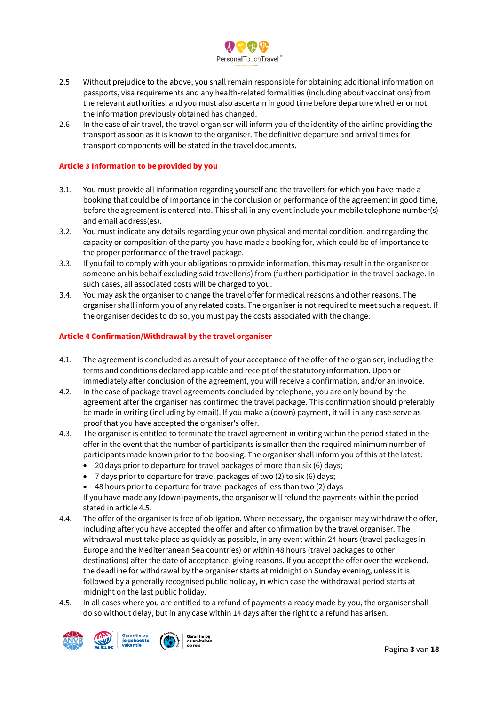

- 2.5 Without prejudice to the above, you shall remain responsible for obtaining additional information on passports, visa requirements and any health-related formalities (including about vaccinations) from the relevant authorities, and you must also ascertain in good time before departure whether or not the information previously obtained has changed.
- 2.6 In the case of air travel, the travel organiser will inform you of the identity of the airline providing the transport as soon as it is known to the organiser. The definitive departure and arrival times for transport components will be stated in the travel documents.

#### **Article 3 Information to be provided by you**

- 3.1. You must provide all information regarding yourself and the travellers for which you have made a booking that could be of importance in the conclusion or performance of the agreement in good time, before the agreement is entered into. This shall in any event include your mobile telephone number(s) and email address(es).
- 3.2. You must indicate any details regarding your own physical and mental condition, and regarding the capacity or composition of the party you have made a booking for, which could be of importance to the proper performance of the travel package.
- 3.3. If you fail to comply with your obligations to provide information, this may result in the organiser or someone on his behalf excluding said traveller(s) from (further) participation in the travel package. In such cases, all associated costs will be charged to you.
- 3.4. You may ask the organiser to change the travel offer for medical reasons and other reasons. The organiser shall inform you of any related costs. The organiser is not required to meet such a request. If the organiser decides to do so, you must pay the costs associated with the change.

## **Article 4 Confirmation/Withdrawal by the travel organiser**

- 4.1. The agreement is concluded as a result of your acceptance of the offer of the organiser, including the terms and conditions declared applicable and receipt of the statutory information. Upon or immediately after conclusion of the agreement, you will receive a confirmation, and/or an invoice.
- 4.2. In the case of package travel agreements concluded by telephone, you are only bound by the agreement after the organiser has confirmed the travel package. This confirmation should preferably be made in writing (including by email). If you make a (down) payment, it will in any case serve as proof that you have accepted the organiser's offer.
- 4.3. The organiser is entitled to terminate the travel agreement in writing within the period stated in the offer in the event that the number of participants is smaller than the required minimum number of participants made known prior to the booking. The organiser shall inform you of this at the latest:
	- 20 days prior to departure for travel packages of more than six (6) days;
	- 7 days prior to departure for travel packages of two (2) to six (6) days;
	- 48 hours prior to departure for travel packages of less than two (2) days

If you have made any (down)payments, the organiser will refund the payments within the period stated in article 4.5.

- 4.4. The offer of the organiser is free of obligation. Where necessary, the organiser may withdraw the offer, including after you have accepted the offer and after confirmation by the travel organiser. The withdrawal must take place as quickly as possible, in any event within 24 hours (travel packages in Europe and the Mediterranean Sea countries) or within 48 hours (travel packages to other destinations) after the date of acceptance, giving reasons. If you accept the offer over the weekend, the deadline for withdrawal by the organiser starts at midnight on Sunday evening, unless it is followed by a generally recognised public holiday, in which case the withdrawal period starts at midnight on the last public holiday.
- 4.5. In all cases where you are entitled to a refund of payments already made by you, the organiser shall do so without delay, but in any case within 14 days after the right to a refund has arisen.



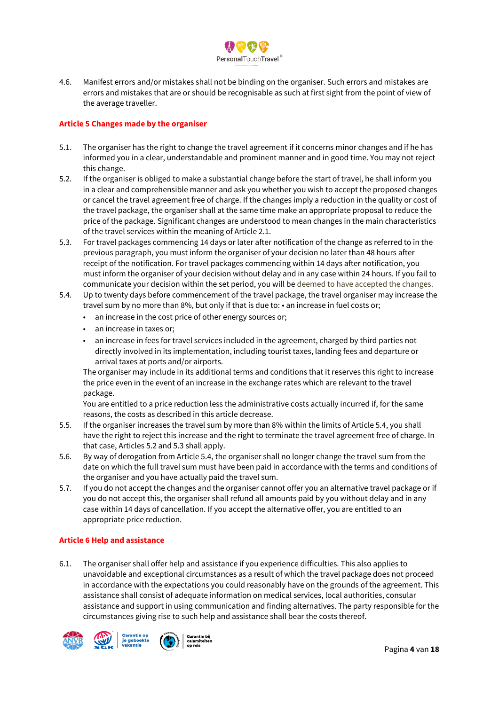

4.6. Manifest errors and/or mistakes shall not be binding on the organiser. Such errors and mistakes are errors and mistakes that are or should be recognisable as such at first sight from the point of view of the average traveller.

## **Article 5 Changes made by the organiser**

- 5.1. The organiser has the right to change the travel agreement if it concerns minor changes and if he has informed you in a clear, understandable and prominent manner and in good time. You may not reject this change.
- 5.2. If the organiser is obliged to make a substantial change before the start of travel, he shall inform you in a clear and comprehensible manner and ask you whether you wish to accept the proposed changes or cancel the travel agreement free of charge. If the changes imply a reduction in the quality or cost of the travel package, the organiser shall at the same time make an appropriate proposal to reduce the price of the package. Significant changes are understood to mean changes in the main characteristics of the travel services within the meaning of Article 2.1.
- 5.3. For travel packages commencing 14 days or later after notification of the change as referred to in the previous paragraph, you must inform the organiser of your decision no later than 48 hours after receipt of the notification. For travel packages commencing within 14 days after notification, you must inform the organiser of your decision without delay and in any case within 24 hours. If you fail to communicate your decision within the set period, you will be deemed to have accepted the changes.
- 5.4. Up to twenty days before commencement of the travel package, the travel organiser may increase the travel sum by no more than 8%, but only if that is due to: • an increase in fuel costs or;
	- an increase in the cost price of other energy sources or;
	- an increase in taxes or;
	- an increase in fees for travel services included in the agreement, charged by third parties not directly involved in its implementation, including tourist taxes, landing fees and departure or arrival taxes at ports and/or airports.

The organiser may include in its additional terms and conditions that it reserves this right to increase the price even in the event of an increase in the exchange rates which are relevant to the travel package.

You are entitled to a price reduction less the administrative costs actually incurred if, for the same reasons, the costs as described in this article decrease.

- 5.5. If the organiser increases the travel sum by more than 8% within the limits of Article 5.4, you shall have the right to reject this increase and the right to terminate the travel agreement free of charge. In that case, Articles 5.2 and 5.3 shall apply.
- 5.6. By way of derogation from Article 5.4, the organiser shall no longer change the travel sum from the date on which the full travel sum must have been paid in accordance with the terms and conditions of the organiser and you have actually paid the travel sum.
- 5.7. If you do not accept the changes and the organiser cannot offer you an alternative travel package or if you do not accept this, the organiser shall refund all amounts paid by you without delay and in any case within 14 days of cancellation. If you accept the alternative offer, you are entitled to an appropriate price reduction.

## **Article 6 Help and assistance**

6.1. The organiser shall offer help and assistance if you experience difficulties. This also applies to unavoidable and exceptional circumstances as a result of which the travel package does not proceed in accordance with the expectations you could reasonably have on the grounds of the agreement. This assistance shall consist of adequate information on medical services, local authorities, consular assistance and support in using communication and finding alternatives. The party responsible for the circumstances giving rise to such help and assistance shall bear the costs thereof.



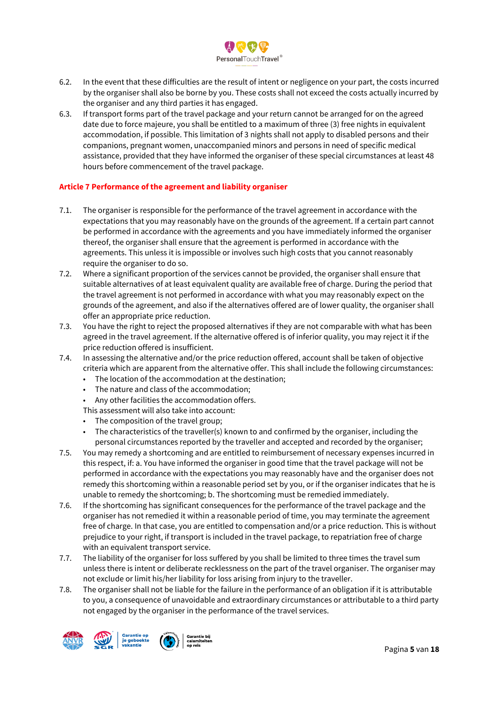

- 6.2. In the event that these difficulties are the result of intent or negligence on your part, the costs incurred by the organiser shall also be borne by you. These costs shall not exceed the costs actually incurred by the organiser and any third parties it has engaged.
- 6.3. If transport forms part of the travel package and your return cannot be arranged for on the agreed date due to force majeure, you shall be entitled to a maximum of three (3) free nights in equivalent accommodation, if possible. This limitation of 3 nights shall not apply to disabled persons and their companions, pregnant women, unaccompanied minors and persons in need of specific medical assistance, provided that they have informed the organiser of these special circumstances at least 48 hours before commencement of the travel package.

## **Article 7 Performance of the agreement and liability organiser**

- 7.1. The organiser is responsible for the performance of the travel agreement in accordance with the expectations that you may reasonably have on the grounds of the agreement. If a certain part cannot be performed in accordance with the agreements and you have immediately informed the organiser thereof, the organiser shall ensure that the agreement is performed in accordance with the agreements. This unless it is impossible or involves such high costs that you cannot reasonably require the organiser to do so.
- 7.2. Where a significant proportion of the services cannot be provided, the organiser shall ensure that suitable alternatives of at least equivalent quality are available free of charge. During the period that the travel agreement is not performed in accordance with what you may reasonably expect on the grounds of the agreement, and also if the alternatives offered are of lower quality, the organiser shall offer an appropriate price reduction.
- 7.3. You have the right to reject the proposed alternatives if they are not comparable with what has been agreed in the travel agreement. If the alternative offered is of inferior quality, you may reject it if the price reduction offered is insufficient.
- 7.4. In assessing the alternative and/or the price reduction offered, account shall be taken of objective criteria which are apparent from the alternative offer. This shall include the following circumstances:
	- The location of the accommodation at the destination;
	- The nature and class of the accommodation;
	- Any other facilities the accommodation offers.
	- This assessment will also take into account:
	- The composition of the travel group;
	- The characteristics of the traveller(s) known to and confirmed by the organiser, including the personal circumstances reported by the traveller and accepted and recorded by the organiser;
- 7.5. You may remedy a shortcoming and are entitled to reimbursement of necessary expenses incurred in this respect, if: a. You have informed the organiser in good time that the travel package will not be performed in accordance with the expectations you may reasonably have and the organiser does not remedy this shortcoming within a reasonable period set by you, or if the organiser indicates that he is unable to remedy the shortcoming; b. The shortcoming must be remedied immediately.
- 7.6. If the shortcoming has significant consequences for the performance of the travel package and the organiser has not remedied it within a reasonable period of time, you may terminate the agreement free of charge. In that case, you are entitled to compensation and/or a price reduction. This is without prejudice to your right, if transport is included in the travel package, to repatriation free of charge with an equivalent transport service.
- 7.7. The liability of the organiser for loss suffered by you shall be limited to three times the travel sum unless there is intent or deliberate recklessness on the part of the travel organiser. The organiser may not exclude or limit his/her liability for loss arising from injury to the traveller.
- 7.8. The organiser shall not be liable for the failure in the performance of an obligation if it is attributable to you, a consequence of unavoidable and extraordinary circumstances or attributable to a third party not engaged by the organiser in the performance of the travel services.



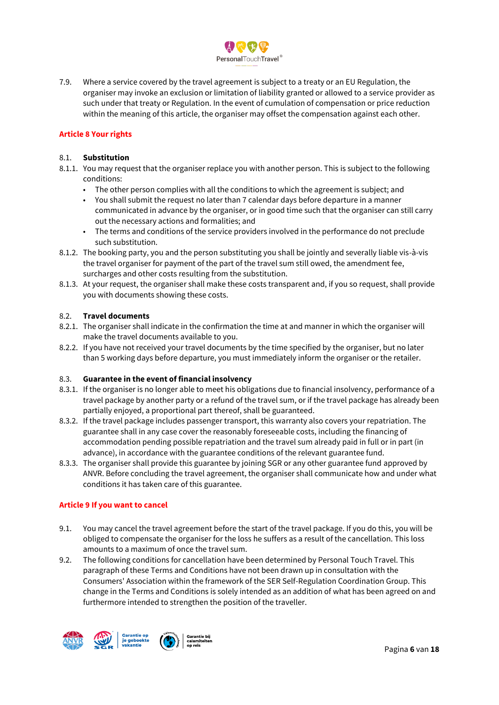

7.9. Where a service covered by the travel agreement is subject to a treaty or an EU Regulation, the organiser may invoke an exclusion or limitation of liability granted or allowed to a service provider as such under that treaty or Regulation. In the event of cumulation of compensation or price reduction within the meaning of this article, the organiser may offset the compensation against each other.

# **Article 8 Your rights**

#### 8.1. **Substitution**

- 8.1.1. You may request that the organiser replace you with another person. This is subject to the following conditions:
	- The other person complies with all the conditions to which the agreement is subject; and
	- You shall submit the request no later than 7 calendar days before departure in a manner communicated in advance by the organiser, or in good time such that the organiser can still carry out the necessary actions and formalities; and
	- The terms and conditions of the service providers involved in the performance do not preclude such substitution.
- 8.1.2. The booking party, you and the person substituting you shall be jointly and severally liable vis-à-vis the travel organiser for payment of the part of the travel sum still owed, the amendment fee, surcharges and other costs resulting from the substitution.
- 8.1.3. At your request, the organiser shall make these costs transparent and, if you so request, shall provide you with documents showing these costs.

#### 8.2. **Travel documents**

- 8.2.1. The organiser shall indicate in the confirmation the time at and manner in which the organiser will make the travel documents available to you.
- 8.2.2. If you have not received your travel documents by the time specified by the organiser, but no later than 5 working days before departure, you must immediately inform the organiser or the retailer.

## 8.3. **Guarantee in the event of financial insolvency**

- 8.3.1. If the organiser is no longer able to meet his obligations due to financial insolvency, performance of a travel package by another party or a refund of the travel sum, or if the travel package has already been partially enjoyed, a proportional part thereof, shall be guaranteed.
- 8.3.2. If the travel package includes passenger transport, this warranty also covers your repatriation. The guarantee shall in any case cover the reasonably foreseeable costs, including the financing of accommodation pending possible repatriation and the travel sum already paid in full or in part (in advance), in accordance with the guarantee conditions of the relevant guarantee fund.
- 8.3.3. The organiser shall provide this guarantee by joining SGR or any other guarantee fund approved by ANVR. Before concluding the travel agreement, the organiser shall communicate how and under what conditions it has taken care of this guarantee.

## **Article 9 If you want to cancel**

- 9.1. You may cancel the travel agreement before the start of the travel package. If you do this, you will be obliged to compensate the organiser for the loss he suffers as a result of the cancellation. This loss amounts to a maximum of once the travel sum.
- 9.2. The following conditions for cancellation have been determined by Personal Touch Travel. This paragraph of these Terms and Conditions have not been drawn up in consultation with the Consumers' Association within the framework of the SER Self-Regulation Coordination Group. This change in the Terms and Conditions is solely intended as an addition of what has been agreed on and furthermore intended to strengthen the position of the traveller.

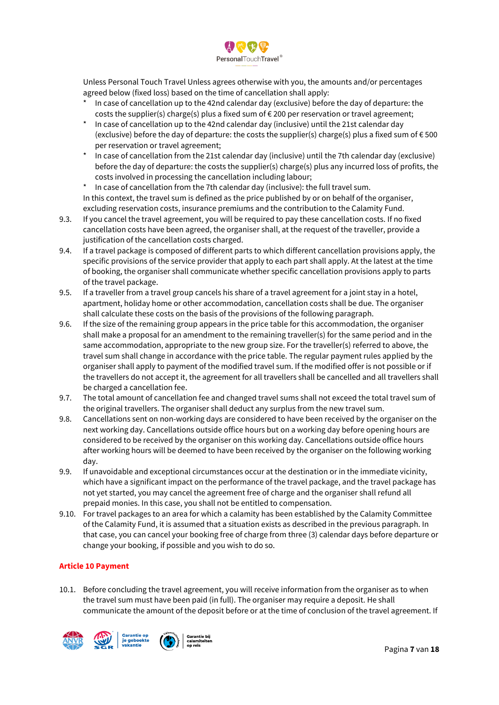

Unless Personal Touch Travel Unless agrees otherwise with you, the amounts and/or percentages agreed below (fixed loss) based on the time of cancellation shall apply:

- In case of cancellation up to the 42nd calendar day (exclusive) before the day of departure: the costs the supplier(s) charge(s) plus a fixed sum of  $\epsilon$  200 per reservation or travel agreement;
- In case of cancellation up to the 42nd calendar day (inclusive) until the 21st calendar day (exclusive) before the day of departure: the costs the supplier(s) charge(s) plus a fixed sum of  $\epsilon$  500 per reservation or travel agreement;
- In case of cancellation from the 21st calendar day (inclusive) until the 7th calendar day (exclusive) before the day of departure: the costs the supplier(s) charge(s) plus any incurred loss of profits, the costs involved in processing the cancellation including labour;
- In case of cancellation from the 7th calendar day (inclusive): the full travel sum. In this context, the travel sum is defined as the price published by or on behalf of the organiser, excluding reservation costs, insurance premiums and the contribution to the Calamity Fund.
- 9.3. If you cancel the travel agreement, you will be required to pay these cancellation costs. If no fixed cancellation costs have been agreed, the organiser shall, at the request of the traveller, provide a justification of the cancellation costs charged.
- 9.4. If a travel package is composed of different parts to which different cancellation provisions apply, the specific provisions of the service provider that apply to each part shall apply. At the latest at the time of booking, the organiser shall communicate whether specific cancellation provisions apply to parts of the travel package.
- 9.5. If a traveller from a travel group cancels his share of a travel agreement for a joint stay in a hotel, apartment, holiday home or other accommodation, cancellation costs shall be due. The organiser shall calculate these costs on the basis of the provisions of the following paragraph.
- 9.6. If the size of the remaining group appears in the price table for this accommodation, the organiser shall make a proposal for an amendment to the remaining traveller(s) for the same period and in the same accommodation, appropriate to the new group size. For the traveller(s) referred to above, the travel sum shall change in accordance with the price table. The regular payment rules applied by the organiser shall apply to payment of the modified travel sum. If the modified offer is not possible or if the travellers do not accept it, the agreement for all travellers shall be cancelled and all travellers shall be charged a cancellation fee.
- 9.7. The total amount of cancellation fee and changed travel sums shall not exceed the total travel sum of the original travellers. The organiser shall deduct any surplus from the new travel sum.
- 9.8. Cancellations sent on non-working days are considered to have been received by the organiser on the next working day. Cancellations outside office hours but on a working day before opening hours are considered to be received by the organiser on this working day. Cancellations outside office hours after working hours will be deemed to have been received by the organiser on the following working day.
- 9.9. If unavoidable and exceptional circumstances occur at the destination or in the immediate vicinity, which have a significant impact on the performance of the travel package, and the travel package has not yet started, you may cancel the agreement free of charge and the organiser shall refund all prepaid monies. In this case, you shall not be entitled to compensation.
- 9.10. For travel packages to an area for which a calamity has been established by the Calamity Committee of the Calamity Fund, it is assumed that a situation exists as described in the previous paragraph. In that case, you can cancel your booking free of charge from three (3) calendar days before departure or change your booking, if possible and you wish to do so.

# **Article 10 Payment**

10.1. Before concluding the travel agreement, you will receive information from the organiser as to when the travel sum must have been paid (in full). The organiser may require a deposit. He shall communicate the amount of the deposit before or at the time of conclusion of the travel agreement. If



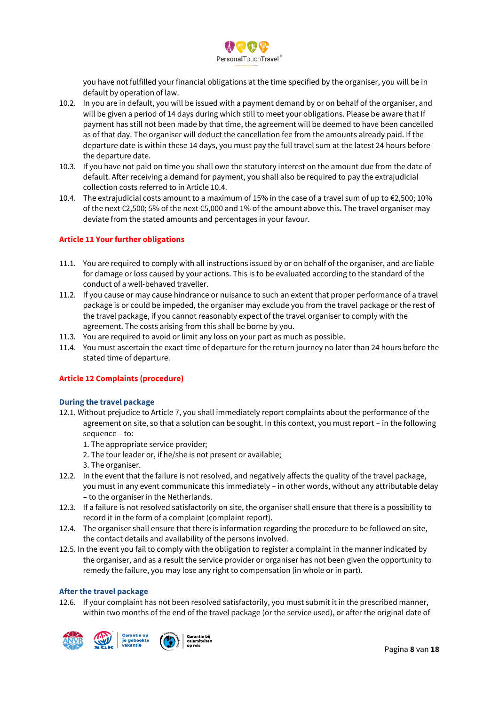

you have not fulfilled your financial obligations at the time specified by the organiser, you will be in default by operation of law.

- 10.2. In you are in default, you will be issued with a payment demand by or on behalf of the organiser, and will be given a period of 14 days during which still to meet your obligations. Please be aware that If payment has still not been made by that time, the agreement will be deemed to have been cancelled as of that day. The organiser will deduct the cancellation fee from the amounts already paid. If the departure date is within these 14 days, you must pay the full travel sum at the latest 24 hours before the departure date.
- 10.3. If you have not paid on time you shall owe the statutory interest on the amount due from the date of default. After receiving a demand for payment, you shall also be required to pay the extrajudicial collection costs referred to in Article 10.4.
- 10.4. The extrajudicial costs amount to a maximum of 15% in the case of a travel sum of up to €2,500; 10% of the next €2,500; 5% of the next €5,000 and 1% of the amount above this. The travel organiser may deviate from the stated amounts and percentages in your favour.

## **Article 11 Your further obligations**

- 11.1. You are required to comply with all instructions issued by or on behalf of the organiser, and are liable for damage or loss caused by your actions. This is to be evaluated according to the standard of the conduct of a well-behaved traveller.
- 11.2. If you cause or may cause hindrance or nuisance to such an extent that proper performance of a travel package is or could be impeded, the organiser may exclude you from the travel package or the rest of the travel package, if you cannot reasonably expect of the travel organiser to comply with the agreement. The costs arising from this shall be borne by you.
- 11.3. You are required to avoid or limit any loss on your part as much as possible.
- 11.4. You must ascertain the exact time of departure for the return journey no later than 24 hours before the stated time of departure.

## **Article 12 Complaints (procedure)**

#### **During the travel package**

- 12.1. Without prejudice to Article 7, you shall immediately report complaints about the performance of the agreement on site, so that a solution can be sought. In this context, you must report – in the following sequence – to:
	- 1. The appropriate service provider;
	- 2. The tour leader or, if he/she is not present or available;
	- 3. The organiser.
- 12.2. In the event that the failure is not resolved, and negatively affects the quality of the travel package, you must in any event communicate this immediately – in other words, without any attributable delay – to the organiser in the Netherlands.
- 12.3. If a failure is not resolved satisfactorily on site, the organiser shall ensure that there is a possibility to record it in the form of a complaint (complaint report).
- 12.4. The organiser shall ensure that there is information regarding the procedure to be followed on site, the contact details and availability of the persons involved.
- 12.5. In the event you fail to comply with the obligation to register a complaint in the manner indicated by the organiser, and as a result the service provider or organiser has not been given the opportunity to remedy the failure, you may lose any right to compensation (in whole or in part).

#### **After the travel package**

12.6. If your complaint has not been resolved satisfactorily, you must submit it in the prescribed manner, within two months of the end of the travel package (or the service used), or after the original date of





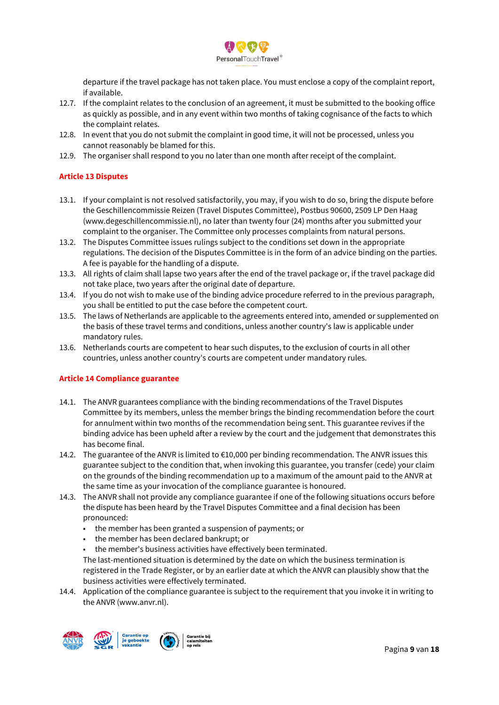

departure if the travel package has not taken place. You must enclose a copy of the complaint report, if available.

- 12.7. If the complaint relates to the conclusion of an agreement, it must be submitted to the booking office as quickly as possible, and in any event within two months of taking cognisance of the facts to which the complaint relates.
- 12.8. In event that you do not submit the complaint in good time, it will not be processed, unless you cannot reasonably be blamed for this.
- 12.9. The organiser shall respond to you no later than one month after receipt of the complaint.

# **Article 13 Disputes**

- 13.1. If your complaint is not resolved satisfactorily, you may, if you wish to do so, bring the dispute before the Geschillencommissie Reizen (Travel Disputes Committee), Postbus 90600, 2509 LP Den Haag (www.degeschillencommissie.nl), no later than twenty four (24) months after you submitted your complaint to the organiser. The Committee only processes complaints from natural persons.
- 13.2. The Disputes Committee issues rulings subject to the conditions set down in the appropriate regulations. The decision of the Disputes Committee is in the form of an advice binding on the parties. A fee is payable for the handling of a dispute.
- 13.3. All rights of claim shall lapse two years after the end of the travel package or, if the travel package did not take place, two years after the original date of departure.
- 13.4. If you do not wish to make use of the binding advice procedure referred to in the previous paragraph, you shall be entitled to put the case before the competent court.
- 13.5. The laws of Netherlands are applicable to the agreements entered into, amended or supplemented on the basis of these travel terms and conditions, unless another country's law is applicable under mandatory rules.
- 13.6. Netherlands courts are competent to hear such disputes, to the exclusion of courts in all other countries, unless another country's courts are competent under mandatory rules.

## **Article 14 Compliance guarantee**

- 14.1. The ANVR guarantees compliance with the binding recommendations of the Travel Disputes Committee by its members, unless the member brings the binding recommendation before the court for annulment within two months of the recommendation being sent. This guarantee revives if the binding advice has been upheld after a review by the court and the judgement that demonstrates this has become final.
- 14.2. The guarantee of the ANVR is limited to €10,000 per binding recommendation. The ANVR issues this guarantee subject to the condition that, when invoking this guarantee, you transfer (cede) your claim on the grounds of the binding recommendation up to a maximum of the amount paid to the ANVR at the same time as your invocation of the compliance guarantee is honoured.
- 14.3. The ANVR shall not provide any compliance guarantee if one of the following situations occurs before the dispute has been heard by the Travel Disputes Committee and a final decision has been pronounced:
	- the member has been granted a suspension of payments; or
	- the member has been declared bankrupt; or
	- the member's business activities have effectively been terminated.

The last-mentioned situation is determined by the date on which the business termination is registered in the Trade Register, or by an earlier date at which the ANVR can plausibly show that the business activities were effectively terminated.

14.4. Application of the compliance guarantee is subject to the requirement that you invoke it in writing to the ANVR (www.anvr.nl).

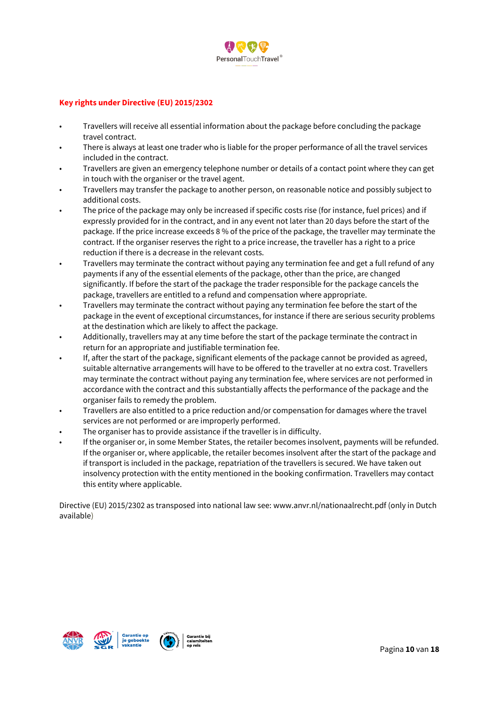

## **Key rights under Directive (EU) 2015/2302**

- Travellers will receive all essential information about the package before concluding the package travel contract.
- There is always at least one trader who is liable for the proper performance of all the travel services included in the contract.
- Travellers are given an emergency telephone number or details of a contact point where they can get in touch with the organiser or the travel agent.
- Travellers may transfer the package to another person, on reasonable notice and possibly subject to additional costs.
- The price of the package may only be increased if specific costs rise (for instance, fuel prices) and if expressly provided for in the contract, and in any event not later than 20 days before the start of the package. If the price increase exceeds 8 % of the price of the package, the traveller may terminate the contract. If the organiser reserves the right to a price increase, the traveller has a right to a price reduction if there is a decrease in the relevant costs.
- Travellers may terminate the contract without paying any termination fee and get a full refund of any payments if any of the essential elements of the package, other than the price, are changed significantly. If before the start of the package the trader responsible for the package cancels the package, travellers are entitled to a refund and compensation where appropriate.
- Travellers may terminate the contract without paying any termination fee before the start of the package in the event of exceptional circumstances, for instance if there are serious security problems at the destination which are likely to affect the package.
- Additionally, travellers may at any time before the start of the package terminate the contract in return for an appropriate and justifiable termination fee.
- If, after the start of the package, significant elements of the package cannot be provided as agreed, suitable alternative arrangements will have to be offered to the traveller at no extra cost. Travellers may terminate the contract without paying any termination fee, where services are not performed in accordance with the contract and this substantially affects the performance of the package and the organiser fails to remedy the problem.
- Travellers are also entitled to a price reduction and/or compensation for damages where the travel services are not performed or are improperly performed.
- The organiser has to provide assistance if the traveller is in difficulty.
- If the organiser or, in some Member States, the retailer becomes insolvent, payments will be refunded. If the organiser or, where applicable, the retailer becomes insolvent after the start of the package and if transport is included in the package, repatriation of the travellers is secured. We have taken out insolvency protection with the entity mentioned in the booking confirmation. Travellers may contact this entity where applicable.

Directive (EU) 2015/2302 as transposed into national law see: www.anvr.nl/nationaalrecht.pdf (only in Dutch available)





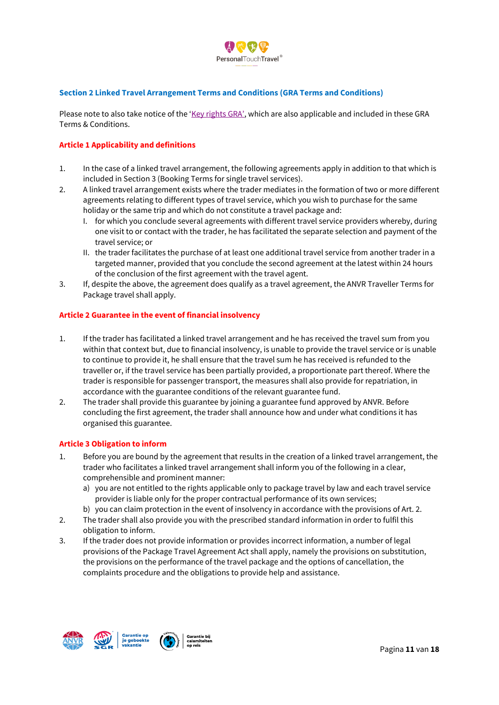

# **Section 2 Linked Travel Arrangement Terms and Conditions (GRA Terms and Conditions)**

Please note to also take notice of the ['Key rights GRA'](https://www.anvr.nl/DownloadItem/Keyrights_Linked_Travel_Arrangements.pdf), which are also applicable and included in these GRA Terms & Conditions.

# **Article 1 Applicability and definitions**

- 1. In the case of a linked travel arrangement, the following agreements apply in addition to that which is included in Section 3 (Booking Terms for single travel services).
- 2. A linked travel arrangement exists where the trader mediates in the formation of two or more different agreements relating to different types of travel service, which you wish to purchase for the same holiday or the same trip and which do not constitute a travel package and:
	- I. for which you conclude several agreements with different travel service providers whereby, during one visit to or contact with the trader, he has facilitated the separate selection and payment of the travel service; or
	- II. the trader facilitates the purchase of at least one additional travel service from another trader in a targeted manner, provided that you conclude the second agreement at the latest within 24 hours of the conclusion of the first agreement with the travel agent.
- 3. If, despite the above, the agreement does qualify as a travel agreement, the ANVR Traveller Terms for Package travel shall apply.

#### **Article 2 Guarantee in the event of financial insolvency**

- 1. If the trader has facilitated a linked travel arrangement and he has received the travel sum from you within that context but, due to financial insolvency, is unable to provide the travel service or is unable to continue to provide it, he shall ensure that the travel sum he has received is refunded to the traveller or, if the travel service has been partially provided, a proportionate part thereof. Where the trader is responsible for passenger transport, the measures shall also provide for repatriation, in accordance with the guarantee conditions of the relevant guarantee fund.
- 2. The trader shall provide this guarantee by joining a guarantee fund approved by ANVR. Before concluding the first agreement, the trader shall announce how and under what conditions it has organised this guarantee.

#### **Article 3 Obligation to inform**

- 1. Before you are bound by the agreement that results in the creation of a linked travel arrangement, the trader who facilitates a linked travel arrangement shall inform you of the following in a clear, comprehensible and prominent manner:
	- a) you are not entitled to the rights applicable only to package travel by law and each travel service provider is liable only for the proper contractual performance of its own services;
	- b) you can claim protection in the event of insolvency in accordance with the provisions of Art. 2.
- 2. The trader shall also provide you with the prescribed standard information in order to fulfil this obligation to inform.
- 3. If the trader does not provide information or provides incorrect information, a number of legal provisions of the Package Travel Agreement Act shall apply, namely the provisions on substitution, the provisions on the performance of the travel package and the options of cancellation, the complaints procedure and the obligations to provide help and assistance.

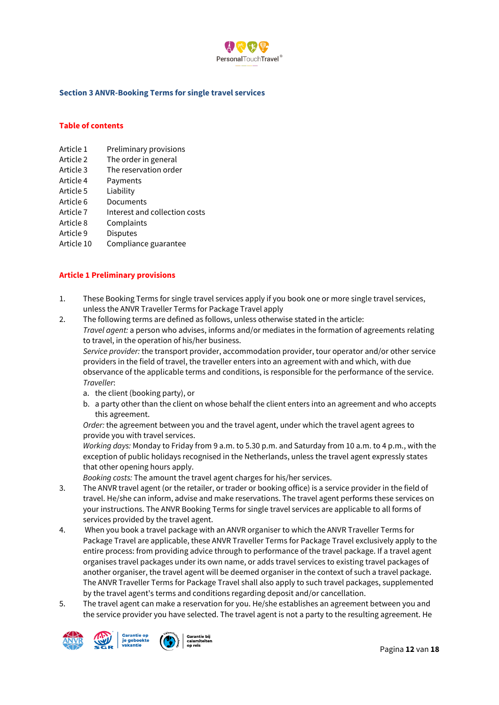

#### **Section 3 ANVR-Booking Terms for single travel services**

# **Table of contents**

- Article 1 Preliminary provisions
- Article 2 The order in general
- Article 3 The reservation order
- Article 4 Payments
- Article 5 Liability
- Article 6 Documents
- Article 7 Interest and collection costs
- Article 8 Complaints
- Article 9 Disputes
- Article 10 Compliance guarantee

#### **Article 1 Preliminary provisions**

- 1. These Booking Terms for single travel services apply if you book one or more single travel services, unless the ANVR Traveller Terms for Package Travel apply
- 2. The following terms are defined as follows, unless otherwise stated in the article: *Travel agent:* a person who advises, informs and/or mediates in the formation of agreements relating to travel, in the operation of his/her business.

*Service provider:* the transport provider, accommodation provider, tour operator and/or other service providers in the field of travel, the traveller enters into an agreement with and which, with due observance of the applicable terms and conditions, is responsible for the performance of the service. *Traveller*:

- a. the client (booking party), or
- b. a party other than the client on whose behalf the client enters into an agreement and who accepts this agreement.

*Order:* the agreement between you and the travel agent, under which the travel agent agrees to provide you with travel services.

*Working days:* Monday to Friday from 9 a.m. to 5.30 p.m. and Saturday from 10 a.m. to 4 p.m., with the exception of public holidays recognised in the Netherlands, unless the travel agent expressly states that other opening hours apply.

*Booking costs:* The amount the travel agent charges for his/her services.

- 3. The ANVR travel agent (or the retailer, or trader or booking office) is a service provider in the field of travel. He/she can inform, advise and make reservations. The travel agent performs these services on your instructions. The ANVR Booking Terms for single travel services are applicable to all forms of services provided by the travel agent.
- 4. When you book a travel package with an ANVR organiser to which the ANVR Traveller Terms for Package Travel are applicable, these ANVR Traveller Terms for Package Travel exclusively apply to the entire process: from providing advice through to performance of the travel package. If a travel agent organises travel packages under its own name, or adds travel services to existing travel packages of another organiser, the travel agent will be deemed organiser in the context of such a travel package. The ANVR Traveller Terms for Package Travel shall also apply to such travel packages, supplemented by the travel agent's terms and conditions regarding deposit and/or cancellation.
- 5. The travel agent can make a reservation for you. He/she establishes an agreement between you and the service provider you have selected. The travel agent is not a party to the resulting agreement. He



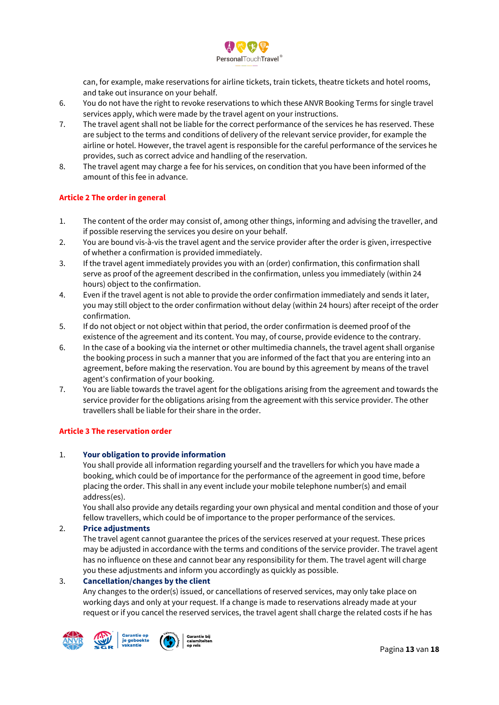

can, for example, make reservations for airline tickets, train tickets, theatre tickets and hotel rooms, and take out insurance on your behalf.

- 6. You do not have the right to revoke reservations to which these ANVR Booking Terms for single travel services apply, which were made by the travel agent on your instructions.
- 7. The travel agent shall not be liable for the correct performance of the services he has reserved. These are subject to the terms and conditions of delivery of the relevant service provider, for example the airline or hotel. However, the travel agent is responsible for the careful performance of the services he provides, such as correct advice and handling of the reservation.
- 8. The travel agent may charge a fee for his services, on condition that you have been informed of the amount of this fee in advance.

# **Article 2 The order in general**

- 1. The content of the order may consist of, among other things, informing and advising the traveller, and if possible reserving the services you desire on your behalf.
- 2. You are bound vis-à-vis the travel agent and the service provider after the order is given, irrespective of whether a confirmation is provided immediately.
- 3. If the travel agent immediately provides you with an (order) confirmation, this confirmation shall serve as proof of the agreement described in the confirmation, unless you immediately (within 24 hours) object to the confirmation.
- 4. Even if the travel agent is not able to provide the order confirmation immediately and sends it later, you may still object to the order confirmation without delay (within 24 hours) after receipt of the order confirmation.
- 5. If do not object or not object within that period, the order confirmation is deemed proof of the existence of the agreement and its content. You may, of course, provide evidence to the contrary.
- 6. In the case of a booking via the internet or other multimedia channels, the travel agent shall organise the booking process in such a manner that you are informed of the fact that you are entering into an agreement, before making the reservation. You are bound by this agreement by means of the travel agent's confirmation of your booking.
- 7. You are liable towards the travel agent for the obligations arising from the agreement and towards the service provider for the obligations arising from the agreement with this service provider. The other travellers shall be liable for their share in the order.

## **Article 3 The reservation order**

#### 1. **Your obligation to provide information**

You shall provide all information regarding yourself and the travellers for which you have made a booking, which could be of importance for the performance of the agreement in good time, before placing the order. This shall in any event include your mobile telephone number(s) and email address(es).

You shall also provide any details regarding your own physical and mental condition and those of your fellow travellers, which could be of importance to the proper performance of the services.

#### 2. **Price adjustments**

The travel agent cannot guarantee the prices of the services reserved at your request. These prices may be adjusted in accordance with the terms and conditions of the service provider. The travel agent has no influence on these and cannot bear any responsibility for them. The travel agent will charge you these adjustments and inform you accordingly as quickly as possible.

#### 3. **Cancellation/changes by the client**

Any changes to the order(s) issued, or cancellations of reserved services, may only take place on working days and only at your request. If a change is made to reservations already made at your request or if you cancel the reserved services, the travel agent shall charge the related costs if he has





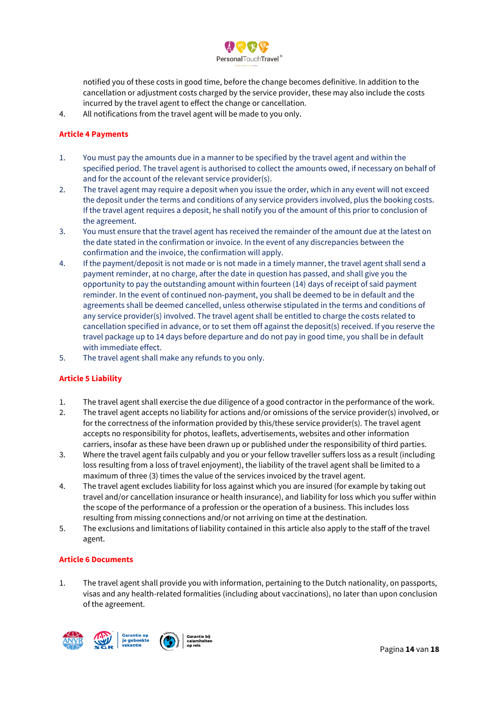

notified you of these costs in good time, before the change becomes definitive. In addition to the cancellation or adjustment costs charged by the service provider, these may also include the costs incurred by the travel agent to effect the change or cancellation.

4. All notifications from the travel agent will be made to you only.

# **Article 4 Payments**

- 1. You must pay the amounts due in a manner to be specified by the travel agent and within the specified period. The travel agent is authorised to collect the amounts owed, if necessary on behalf of and for the account of the relevant service provider(s).
- 2. The travel agent may require a deposit when you issue the order, which in any event will not exceed the deposit under the terms and conditions of any service providers involved, plus the booking costs. If the travel agent requires a deposit, he shall notify you of the amount of this prior to conclusion of the agreement.
- 3. You must ensure that the travel agent has received the remainder of the amount due at the latest on the date stated in the confirmation or invoice. In the event of any discrepancies between the confirmation and the invoice, the confirmation will apply.
- 4. If the payment/deposit is not made or is not made in a timely manner, the travel agent shall send a payment reminder, at no charge, after the date in question has passed, and shall give you the opportunity to pay the outstanding amount within fourteen (14) days of receipt of said payment reminder. In the event of continued non-payment, you shall be deemed to be in default and the agreements shall be deemed cancelled, unless otherwise stipulated in the terms and conditions of any service provider(s) involved. The travel agent shall be entitled to charge the costs related to cancellation specified in advance, or to set them off against the deposit(s) received. If you reserve the travel package up to 14 days before departure and do not pay in good time, you shall be in default with immediate effect.
- 5. The travel agent shall make any refunds to you only.

# **Article 5 Liability**

- 1. The travel agent shall exercise the due diligence of a good contractor in the performance of the work.
- 2. The travel agent accepts no liability for actions and/or omissions of the service provider(s) involved, or for the correctness of the information provided by this/these service provider(s). The travel agent accepts no responsibility for photos, leaflets, advertisements, websites and other information carriers, insofar as these have been drawn up or published under the responsibility of third parties.
- 3. Where the travel agent fails culpably and you or your fellow traveller suffers loss as a result (including loss resulting from a loss of travel enjoyment), the liability of the travel agent shall be limited to a maximum of three (3) times the value of the services invoiced by the travel agent.
- 4. The travel agent excludes liability for loss against which you are insured (for example by taking out travel and/or cancellation insurance or health insurance), and liability for loss which you suffer within the scope of the performance of a profession or the operation of a business. This includes loss resulting from missing connections and/or not arriving on time at the destination.
- 5. The exclusions and limitations of liability contained in this article also apply to the staff of the travel agent.

## **Article 6 Documents**

1. The travel agent shall provide you with information, pertaining to the Dutch nationality, on passports, visas and any health-related formalities (including about vaccinations), no later than upon conclusion of the agreement.

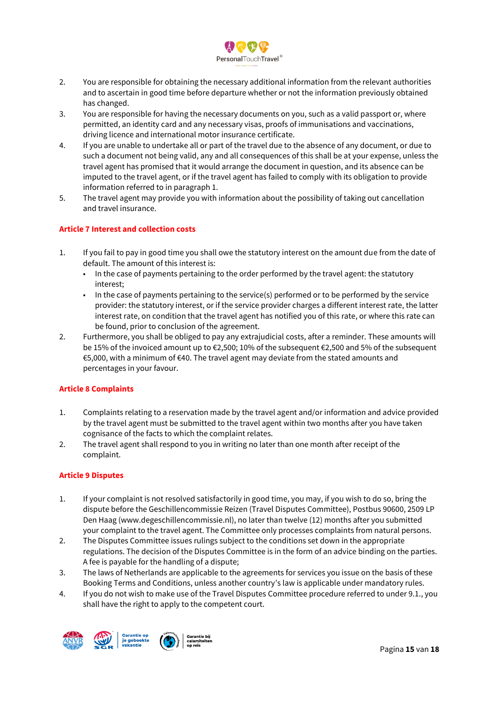

- 2. You are responsible for obtaining the necessary additional information from the relevant authorities and to ascertain in good time before departure whether or not the information previously obtained has changed.
- 3. You are responsible for having the necessary documents on you, such as a valid passport or, where permitted, an identity card and any necessary visas, proofs of immunisations and vaccinations, driving licence and international motor insurance certificate.
- 4. If you are unable to undertake all or part of the travel due to the absence of any document, or due to such a document not being valid, any and all consequences of this shall be at your expense, unless the travel agent has promised that it would arrange the document in question, and its absence can be imputed to the travel agent, or if the travel agent has failed to comply with its obligation to provide information referred to in paragraph 1.
- 5. The travel agent may provide you with information about the possibility of taking out cancellation and travel insurance.

# **Article 7 Interest and collection costs**

- 1. If you fail to pay in good time you shall owe the statutory interest on the amount due from the date of default. The amount of this interest is:
	- In the case of payments pertaining to the order performed by the travel agent: the statutory interest;
	- In the case of payments pertaining to the service(s) performed or to be performed by the service provider: the statutory interest, or if the service provider charges a different interest rate, the latter interest rate, on condition that the travel agent has notified you of this rate, or where this rate can be found, prior to conclusion of the agreement.
- 2. Furthermore, you shall be obliged to pay any extrajudicial costs, after a reminder. These amounts will be 15% of the invoiced amount up to €2,500; 10% of the subsequent €2,500 and 5% of the subsequent €5,000, with a minimum of €40. The travel agent may deviate from the stated amounts and percentages in your favour.

## **Article 8 Complaints**

- 1. Complaints relating to a reservation made by the travel agent and/or information and advice provided by the travel agent must be submitted to the travel agent within two months after you have taken cognisance of the facts to which the complaint relates.
- 2. The travel agent shall respond to you in writing no later than one month after receipt of the complaint.

## **Article 9 Disputes**

- 1. If your complaint is not resolved satisfactorily in good time, you may, if you wish to do so, bring the dispute before the Geschillencommissie Reizen (Travel Disputes Committee), Postbus 90600, 2509 LP Den Haag (www.degeschillencommissie.nl), no later than twelve (12) months after you submitted your complaint to the travel agent. The Committee only processes complaints from natural persons.
- 2. The Disputes Committee issues rulings subject to the conditions set down in the appropriate regulations. The decision of the Disputes Committee is in the form of an advice binding on the parties. A fee is payable for the handling of a dispute;
- 3. The laws of Netherlands are applicable to the agreements for services you issue on the basis of these Booking Terms and Conditions, unless another country's law is applicable under mandatory rules.
- 4. If you do not wish to make use of the Travel Disputes Committee procedure referred to under 9.1., you shall have the right to apply to the competent court.



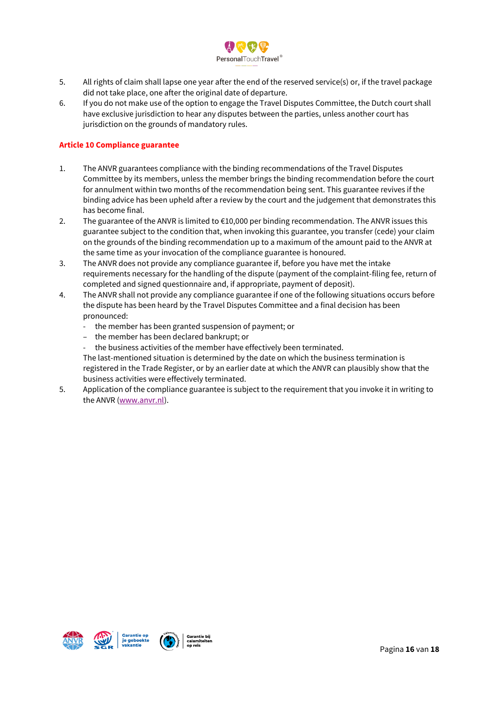

- 5. All rights of claim shall lapse one year after the end of the reserved service(s) or, if the travel package did not take place, one after the original date of departure.
- 6. If you do not make use of the option to engage the Travel Disputes Committee, the Dutch court shall have exclusive jurisdiction to hear any disputes between the parties, unless another court has jurisdiction on the grounds of mandatory rules.

# **Article 10 Compliance guarantee**

- 1. The ANVR guarantees compliance with the binding recommendations of the Travel Disputes Committee by its members, unless the member brings the binding recommendation before the court for annulment within two months of the recommendation being sent. This guarantee revives if the binding advice has been upheld after a review by the court and the judgement that demonstrates this has become final.
- 2. The guarantee of the ANVR is limited to €10,000 per binding recommendation. The ANVR issues this guarantee subject to the condition that, when invoking this guarantee, you transfer (cede) your claim on the grounds of the binding recommendation up to a maximum of the amount paid to the ANVR at the same time as your invocation of the compliance guarantee is honoured.
- 3. The ANVR does not provide any compliance guarantee if, before you have met the intake requirements necessary for the handling of the dispute (payment of the complaint-filing fee, return of completed and signed questionnaire and, if appropriate, payment of deposit).
- 4. The ANVR shall not provide any compliance guarantee if one of the following situations occurs before the dispute has been heard by the Travel Disputes Committee and a final decision has been pronounced:
	- the member has been granted suspension of payment; or
	- the member has been declared bankrupt; or
	- the business activities of the member have effectively been terminated.

The last-mentioned situation is determined by the date on which the business termination is registered in the Trade Register, or by an earlier date at which the ANVR can plausibly show that the business activities were effectively terminated.

5. Application of the compliance guarantee is subject to the requirement that you invoke it in writing to the ANVR [\(www.anvr.nl\)](http://www.anvr.nl/).





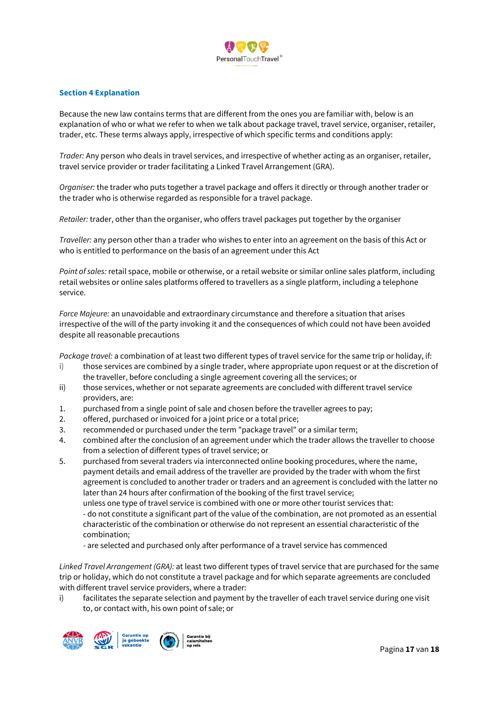

## **Section 4 Explanation**

Because the new law contains terms that are different from the ones you are familiar with, below is an explanation of who or what we refer to when we talk about package travel, travel service, organiser, retailer, trader, etc. These terms always apply, irrespective of which specific terms and conditions apply:

*Trader:* Any person who deals in travel services, and irrespective of whether acting as an organiser, retailer, travel service provider or trader facilitating a Linked Travel Arrangement (GRA).

*Organiser:* the trader who puts together a travel package and offers it directly or through another trader or the trader who is otherwise regarded as responsible for a travel package.

*Retailer:* trader, other than the organiser, who offers travel packages put together by the organiser

*Traveller:* any person other than a trader who wishes to enter into an agreement on the basis of this Act or who is entitled to performance on the basis of an agreement under this Act

*Point of sales:* retail space, mobile or otherwise, or a retail website or similar online sales platform, including retail websites or online sales platforms offered to travellers as a single platform, including a telephone service.

*Force Majeure:* an unavoidable and extraordinary circumstance and therefore a situation that arises irrespective of the will of the party invoking it and the consequences of which could not have been avoided despite all reasonable precautions

*Package travel:* a combination of at least two different types of travel service for the same trip or holiday, if:

- i) those services are combined by a single trader, where appropriate upon request or at the discretion of the traveller, before concluding a single agreement covering all the services; or
- ii) those services, whether or not separate agreements are concluded with different travel service providers, are:
- 1. purchased from a single point of sale and chosen before the traveller agrees to pay;
- 2. offered, purchased or invoiced for a joint price or a total price;
- 3. recommended or purchased under the term "package travel" or a similar term;
- 4. combined after the conclusion of an agreement under which the trader allows the traveller to choose from a selection of different types of travel service; or
- 5. purchased from several traders via interconnected online booking procedures, where the name, payment details and email address of the traveller are provided by the trader with whom the first agreement is concluded to another trader or traders and an agreement is concluded with the latter no later than 24 hours after confirmation of the booking of the first travel service;

unless one type of travel service is combined with one or more other tourist services that: - do not constitute a significant part of the value of the combination, are not promoted as an essential characteristic of the combination or otherwise do not represent an essential characteristic of the combination;

- are selected and purchased only after performance of a travel service has commenced

*Linked Travel Arrangement (GRA):* at least two different types of travel service that are purchased for the same trip or holiday, which do not constitute a travel package and for which separate agreements are concluded with different travel service providers, where a trader:

i) facilitates the separate selection and payment by the traveller of each travel service during one visit to, or contact with, his own point of sale; or